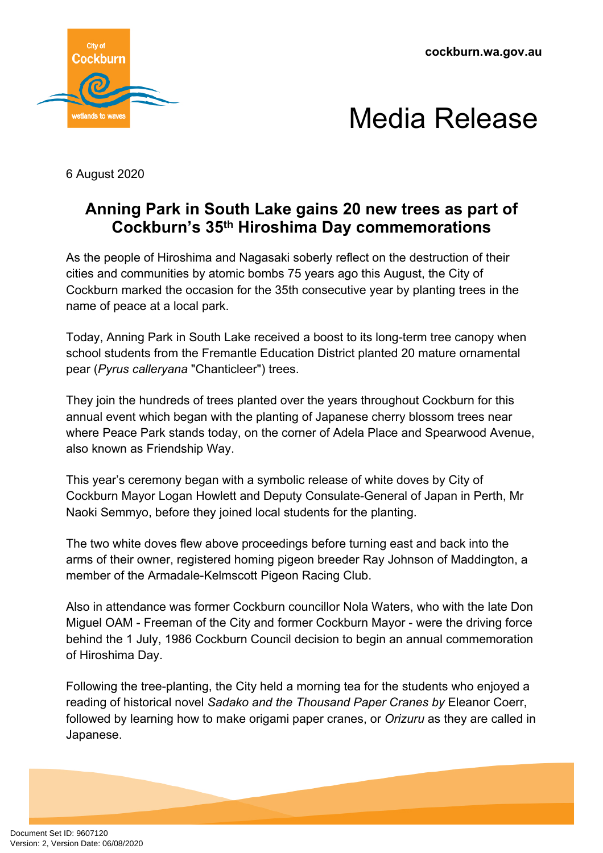



6 August 2020

## **Anning Park in South Lake gains 20 new trees as part of Cockburn's 35th Hiroshima Day commemorations**

As the people of Hiroshima and Nagasaki soberly reflect on the destruction of their cities and communities by atomic bombs 75 years ago this August, the City of Cockburn marked the occasion for the 35th consecutive year by planting trees in the name of peace at a local park.

Today, Anning Park in South Lake received a boost to its long-term tree canopy when school students from the Fremantle Education District planted 20 mature ornamental pear (*Pyrus calleryana* "Chanticleer") trees.

They join the hundreds of trees planted over the years throughout Cockburn for this annual event which began with the planting of Japanese cherry blossom trees near where Peace Park stands today, on the corner of Adela Place and Spearwood Avenue, also known as Friendship Way.

This year's ceremony began with a symbolic release of white doves by City of Cockburn Mayor Logan Howlett and Deputy Consulate-General of Japan in Perth, Mr Naoki Semmyo, before they joined local students for the planting.

The two white doves flew above proceedings before turning east and back into the arms of their owner, registered homing pigeon breeder Ray Johnson of Maddington, a member of the Armadale-Kelmscott Pigeon Racing Club.

Also in attendance was former Cockburn councillor Nola Waters, who with the late Don Miguel OAM - Freeman of the City and former Cockburn Mayor - were the driving force behind the 1 July, 1986 Cockburn Council decision to begin an annual commemoration of Hiroshima Day.

Following the tree-planting, the City held a morning tea for the students who enjoyed a reading of historical novel *Sadako and the Thousand Paper Cranes by* Eleanor Coerr, followed by learning how to make origami paper cranes, or *Orizuru* as they are called in Japanese.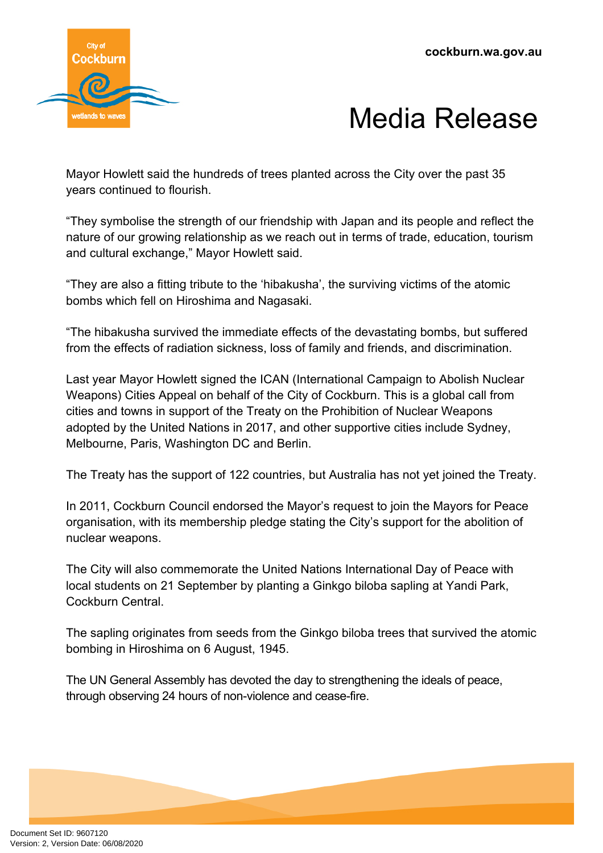



Mayor Howlett said the hundreds of trees planted across the City over the past 35 years continued to flourish.

"They symbolise the strength of our friendship with Japan and its people and reflect the nature of our growing relationship as we reach out in terms of trade, education, tourism and cultural exchange," Mayor Howlett said.

"They are also a fitting tribute to the 'hibakusha', the surviving victims of the atomic bombs which fell on Hiroshima and Nagasaki.

"The hibakusha survived the immediate effects of the devastating bombs, but suffered from the effects of radiation sickness, loss of family and friends, and discrimination.

Last year Mayor Howlett signed the ICAN (International Campaign to Abolish Nuclear Weapons) Cities Appeal on behalf of the City of Cockburn. This is a global call from cities and towns in support of the Treaty on the Prohibition of Nuclear Weapons adopted by the United Nations in 2017, and other supportive cities include Sydney, Melbourne, Paris, Washington DC and Berlin.

The Treaty has the support of 122 countries, but Australia has not yet joined the Treaty.

In 2011, Cockburn Council endorsed the Mayor's request to join the Mayors for Peace organisation, with its membership pledge stating the City's support for the abolition of nuclear weapons.

The City will also commemorate the United Nations International Day of Peace with local students on 21 September by planting a Ginkgo biloba sapling at Yandi Park, Cockburn Central.

The sapling originates from seeds from the Ginkgo biloba trees that survived the atomic bombing in Hiroshima on 6 August, 1945.

The UN General Assembly has devoted the day to strengthening the ideals of peace, through observing 24 hours of non-violence and cease-fire.